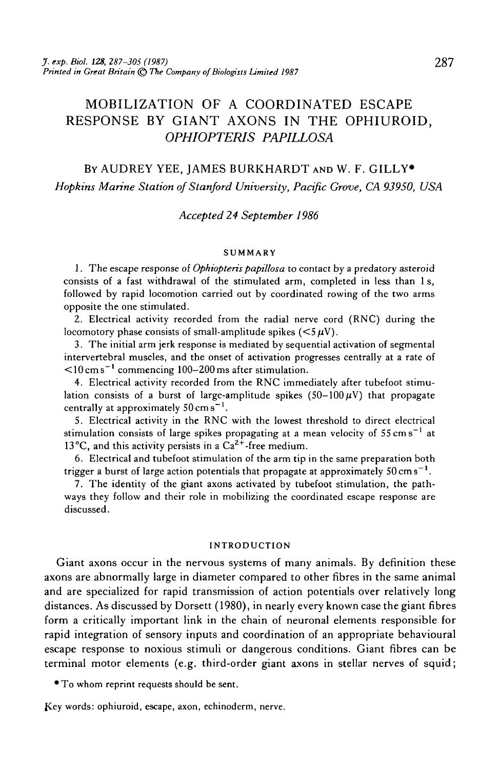# MOBILIZATION OF A COORDINATED ESCAPE RESPONSE BY GIANT AXONS IN THE OPHIUROID, *OPHIOPTERIS PAPILLOSA*

BY AUDREY YEE, JAMES BURKHARDT AND W. F. GILLY\* *Hopkins Marine Station of Stanford University, Pacific Grove, CA 93950, USA*

#### *Accepted 24 September 1986*

#### **SUMMARY**

1. The escape response of *Ophiopteris papillosa* to contact by a predatory asteroid consists of a fast withdrawal of the stimulated arm, completed in less than 1 s, followed by rapid locomotion carried out by coordinated rowing of the two arms opposite the one stimulated.

2. Electrical activity recorded from the radial nerve cord (RNC) during the locomotory phase consists of small-amplitude spikes  $(<5 \mu V)$ .

3. The initial arm jerk response is mediated by sequential activation of segmental intervertebral muscles, and the onset of activation progresses centrally at a rate of  $<$ 10 cm s<sup>-1</sup> commencing 100-200 ms after stimulation.

4. Electrical activity recorded from the RNC immediately after tubefoot stimulation consists of a burst of large-amplitude spikes  $(50-100 \,\mu\text{V})$  that propagate centrally at approximately 50 cm  $\overline{s}^{-1}$ .

5. Electrical activity in the RNC with the lowest threshold to direct electrical stimulation consists of large spikes propagating at a mean velocity of  $55 \text{ cm s}^{-1}$  at 13 °C, and this activity persists in a  $Ca^{2+}$ -free medium.

6. Electrical and tubefoot stimulation of the arm tip in the same preparation both trigger a burst of large action potentials that propagate at approximately  $50 \text{ cm s}^{-1}$ .

7. The identity of the giant axons activated by tubefoot stimulation, the pathways they follow and their role in mobilizing the coordinated escape response are discussed.

### **INTRODUCTION**

Giant axons occur in the nervous systems of many animals. By definition these axons are abnormally large in diameter compared to other fibres in the same animal and are specialized for rapid transmission of action potentials over relatively long distances. As discussed by Dorsett (1980), in nearly every known case the giant fibres form a critically important link in the chain of neuronal elements responsible for rapid integration of sensory inputs and coordination of an appropriate behavioural escape response to noxious stimuli or dangerous conditions. Giant fibres can be terminal motor elements (e.g. third-order giant axons in stellar nerves of squid;

• To whom reprint requests should be sent.

Key words: ophiuroid, escape, axon, echinoderm, nerve.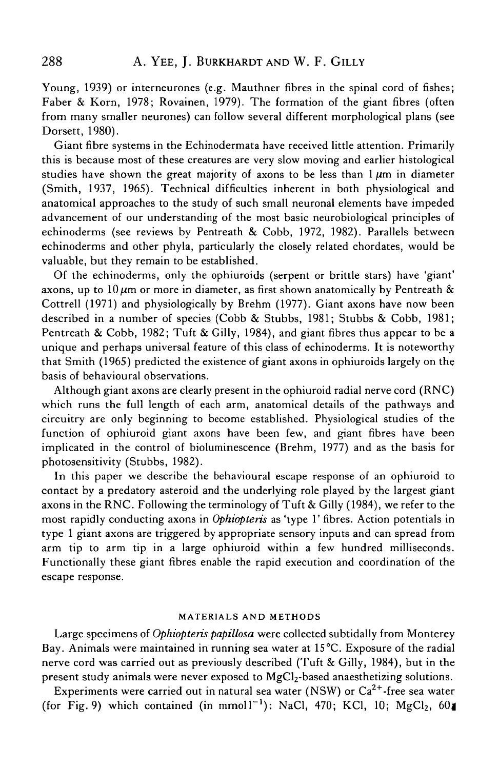Young, 1939) or interneurones (e.g. Mauthner fibres in the spinal cord of fishes; Faber & Korn, 1978; Rovainen, 1979). The formation of the giant fibres (often from many smaller neurones) can follow several different morphological plans (see Dorsett, 1980).

Giant fibre systems in the Echinodermata have received little attention. Primarily this is because most of these creatures are very slow moving and earlier histological studies have shown the great majority of axons to be less than  $1 \mu m$  in diameter (Smith, 1937, 1965). Technical difficulties inherent in both physiological and anatomical approaches to the study of such small neuronal elements have impeded advancement of our understanding of the most basic neurobiological principles of echinoderms (see reviews by Pentreath & Cobb, 1972, 1982). Parallels between echinoderms and other phyla, particularly the closely related chordates, would be valuable, but they remain to be established.

Of the echinoderms, only the ophiuroids (serpent or brittle stars) have 'giant' axons, up to  $10 \mu m$  or more in diameter, as first shown anatomically by Pentreath & Cottrell (1971) and physiologically by Brehm (1977). Giant axons have now been described in a number of species (Cobb & Stubbs, 1981; Stubbs & Cobb, 1981; Pentreath & Cobb, 1982; Tuft & Gilly, 1984), and giant fibres thus appear to be a unique and perhaps universal feature of this class of echinoderms. It is noteworthy that Smith (1965) predicted the existence of giant axons in ophiuroids largely on the basis of behavioural observations.

Although giant axons are clearly present in the ophiuroid radial nerve cord (RNC) which runs the full length of each arm, anatomical details of the pathways and circuitry are only beginning to become established. Physiological studies of the function of ophiuroid giant axons have been few, and giant fibres have been implicated in the control of bioluminescence (Brehm, 1977) and as the basis for photosensitivity (Stubbs, 1982).

In this paper we describe the behavioural escape response of an ophiuroid to contact by a predatory asteroid and the underlying role played by the largest giant axons in the RNC. Following the terminology of Tuft & Gilly (1984), we refer to the most rapidly conducting axons in *Ophiopteris* as 'type 1' fibres. Action potentials in type 1 giant axons are triggered by appropriate sensory inputs and can spread from arm tip to arm tip in a large ophiuroid within a few hundred milliseconds. Functionally these giant fibres enable the rapid execution and coordination of the escape response.

#### MATERIALS AND METHODS

Large specimens of *Ophiopteris papillosa* were collected subtidally from Monterey Bay. Animals were maintained in running sea water at 15°C. Exposure of the radial nerve cord was carried out as previously described (Tuft & Gilly, 1984), but in the present study animals were never exposed to MgCl<sub>2</sub>-based anaesthetizing solutions.

Experiments were carried out in natural sea water (NSW) or  $Ca^{2+}$ -free sea water (for Fig. 9) which contained (in mmol $1^{-1}$ ): NaCl, 470; KCl, 10; MgCl<sub>2</sub>, 60<sup>1</sup>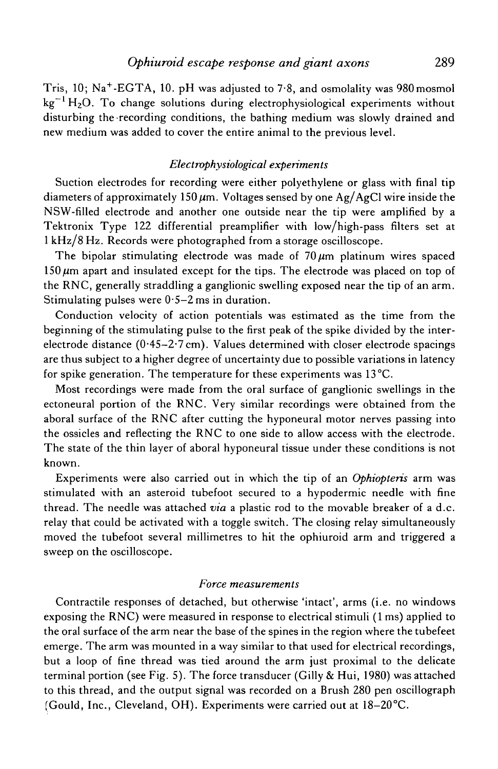Tris, 10; Na<sup>+</sup>-EGTA, 10. pH was adjusted to 7.8, and osmolality was 980 mosmol  $\text{kg}^{-1}\,\text{H}_{2}\text{O}$ . To change solutions during electrophysiological experiments without disturbing the recording conditions, the bathing medium was slowly drained and new medium was added to cover the entire animal to the previous level.

#### *Electrophysiological experiments*

Suction electrodes for recording were either polyethylene or glass with final tip diameters of approximately 150  $\mu$ m. Voltages sensed by one Ag/AgCl wire inside the NSW-filled electrode and another one outside near the tip were amplified by a Tektronix Type 122 differential preamplifier with low/high-pass filters set at 1 kHz/8 Hz. Records were photographed from a storage oscilloscope.

The bipolar stimulating electrode was made of  $70 \mu m$  platinum wires spaced  $150 \mu m$  apart and insulated except for the tips. The electrode was placed on top of the RNC, generally straddling a ganglionic swelling exposed near the tip of an arm. Stimulating pulses were  $0.5-2$  ms in duration.

Conduction velocity of action potentials was estimated as the time from the beginning of the stimulating pulse to the first peak of the spike divided by the interelectrode distance  $(0.45-2.7 \text{ cm})$ . Values determined with closer electrode spacings are thus subject to a higher degree of uncertainty due to possible variations in latency for spike generation. The temperature for these experiments was  $13^{\circ}$ C.

Most recordings were made from the oral surface of ganglionic swellings in the ectoneural portion of the RNC. Very similar recordings were obtained from the aboral surface of the RNC after cutting the hyponeural motor nerves passing into the ossicles and reflecting the RNC to one side to allow access with the electrode. The state of the thin layer of aboral hyponeural tissue under these conditions is not known.

Experiments were also carried out in which the tip of an *Ophiopteris* arm was stimulated with an asteroid tubefoot secured to a hypodermic needle with fine thread. The needle was attached *via* a plastic rod to the movable breaker of a d.c. relay that could be activated with a toggle switch. The closing relay simultaneously moved the tubefoot several millimetres to hit the ophiuroid arm and triggered a sweep on the oscilloscope.

#### *Force measurements*

Contractile responses of detached, but otherwise 'intact', arms (i.e. no windows exposing the RNC) were measured in response to electrical stimuli (1 ms) applied to the oral surface of the arm near the base of the spines in the region where the tubefeet emerge. The arm was mounted in a way similar to that used for electrical recordings, but a loop of fine thread was tied around the arm just proximal to the delicate terminal portion (see Fig. 5). The force transducer (Gilly & Hui, 1980) was attached to this thread, and the output signal was recorded on a Brush 280 pen oscillograph (Gould, Inc., Cleveland, OH). Experiments were carried out at 18-20°C.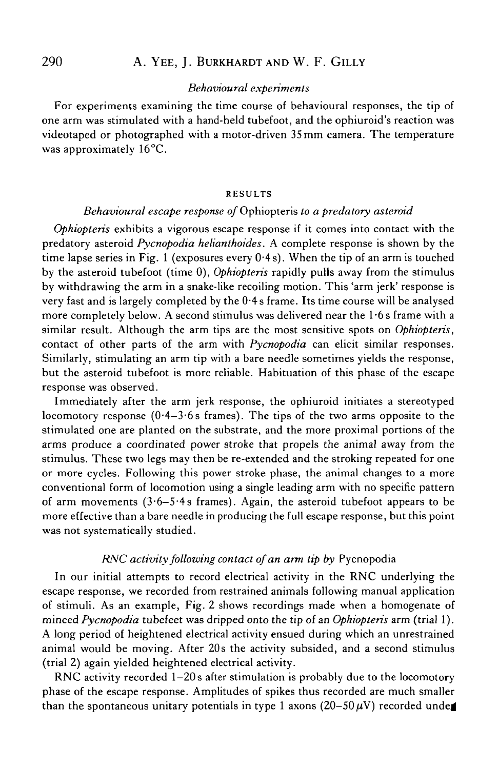## 290 A. YEE, J. BURKHARDT AND W. F. GILLY

#### *Behavioural experiments*

For experiments examining the time course of behavioural responses, the tip of one arm was stimulated with a hand-held tubefoot, and the ophiuroid's reaction was videotaped or photographed with a motor-driven 35 mm camera. The temperature was approximately 16°C.

#### RESULTS

#### *Behavioural escape response of* Ophiopteris *to a predatory asteroid*

*Ophiopteris* exhibits a vigorous escape response if it comes into contact with the predatory asteroid *Pycnopodia helianthoides.* A complete response is shown by the time lapse series in Fig. 1 (exposures every  $0.4 s$ ). When the tip of an arm is touched by the asteroid tubefoot (time 0), *Ophiopteris* rapidly pulls away from the stimulus by withdrawing the arm in a snake-like recoiling motion. This 'arm jerk' response is very fast and is largely completed by the 0-4 s frame. Its time course will be analysed more completely below. A second stimulus was delivered near the l-6s frame with a similar result. Although the arm tips are the most sensitive spots on *Ophiopteris,* contact of other parts of the arm with *Pycnopodia* can elicit similar responses. Similarly, stimulating an arm tip with a bare needle sometimes yields the response, but the asteroid tubefoot is more reliable. Habituation of this phase of the escape response was observed.

Immediately after the arm jerk response, the ophiuroid initiates a stereotyped locomotory response  $(0.4-3.6s$  frames). The tips of the two arms opposite to the stimulated one are planted on the substrate, and the more proximal portions of the arms produce a coordinated power stroke that propels the animal away from the stimulus. These two legs may then be re-extended and the stroking repeated for one or more cycles. Following this power stroke phase, the animal changes to a more conventional form of locomotion using a single leading arm with no specific pattern of arm movements  $(3.6-5.4s$  frames). Again, the asteroid tubefoot appears to be more effective than a bare needle in producing the full escape response, but this point was not systematically studied.

#### *RNC activity following contact of an arm tip by* Pycnopodia

In our initial attempts to record electrical activity in the RNC underlying the escape response, we recorded from restrained animals following manual application of stimuli. As an example, Fig. 2 shows recordings made when a homogenate of minced *Pycnopodia* tubefeet was dripped onto the tip of an *Ophiopteris* arm (trial 1). A long period of heightened electrical activity ensued during which an unrestrained animal would be moving. After 20s the activity subsided, and a second stimulus (trial 2) again yielded heightened electrical activity.

RNC activity recorded 1–20 s after stimulation is probably due to the locomotory phase of the escape response. Amplitudes of spikes thus recorded are much smaller than the spontaneous unitary potentials in type 1 axons  $(20-50 \,\mu\text{V})$  recorded under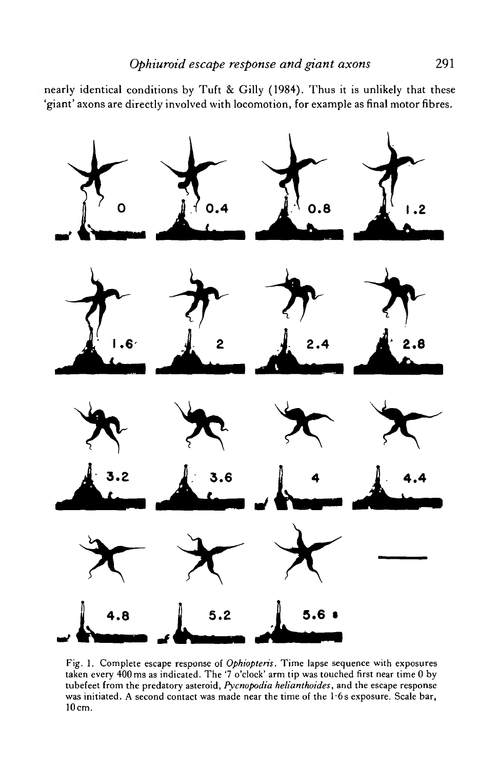nearly identical conditions by Tuft & Gilly (1984). Thus it is unlikely that these 'giant' axons are directly involved with locomotion, for example as final motor fibres.



Fig. 1. Complete escape response of *Ophiopteris.* Time lapse sequence with exposures taken every 400 ms as indicated. The '7 o'clock' arm tip was touched first near time 0 by tubefeet from the predatory asteroid, *Pycnopodia helianthoides,* and the escape response was initiated. A second contact was made near the time of the l-6s exposure. Scale bar, 10cm.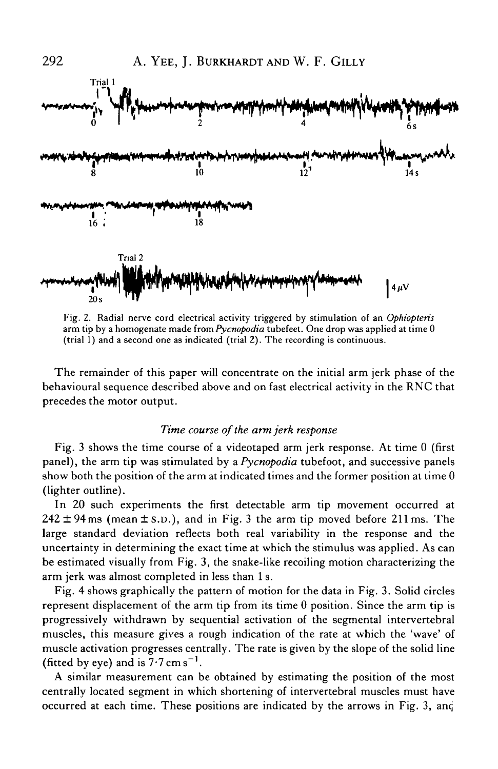

Fig. 2. Radial nerve cord electrical activity triggered by stimulation of an *Ophiopteris* arm tip by a homogenate made from *Pycnopodia* tubefeet. One drop was applied at time 0 (trial 1) and a second one as indicated (trial 2). The recording is continuous.

The remainder of this paper will concentrate on the initial arm jerk phase of the behavioural sequence described above and on fast electrical activity in the RNC that precedes the motor output.

#### *Time course of the arm jerk response*

Fig. 3 shows the time course of a videotaped arm jerk response. At time 0 (first panel), the arm tip was stimulated by a *Pycnopodia* tubefoot, and successive panels show both the position of the arm at indicated times and the former position at time 0 (lighter outline).

In 20 such experiments the first detectable arm tip movement occurred at  $242 \pm 94$  ms (mean  $\pm$  s.D.), and in Fig. 3 the arm tip moved before 211 ms. The large standard deviation reflects both real variability in the response and the uncertainty in determining the exact time at which the stimulus was applied. As can be estimated visually from Fig. 3, the snake-like recoiling motion characterizing the arm jerk was almost completed in less than 1 s.

Fig. 4 shows graphically the pattern of motion for the data in Fig. 3. Solid circles represent displacement of the arm tip from its time 0 position. Since the arm tip is progressively withdrawn by sequential activation of the segmental intervertebral muscles, this measure gives a rough indication of the rate at which the 'wave' of muscle activation progresses centrally. The rate is given by the slope of the solid line (fitted by eye) and is  $7.7 \text{ cm s}^{-1}$ .

A similar measurement can be obtained by estimating the position of the most centrally located segment in which shortening of intervertebral muscles must have occurred at each time. These positions are indicated by the arrows in Fig. 3, and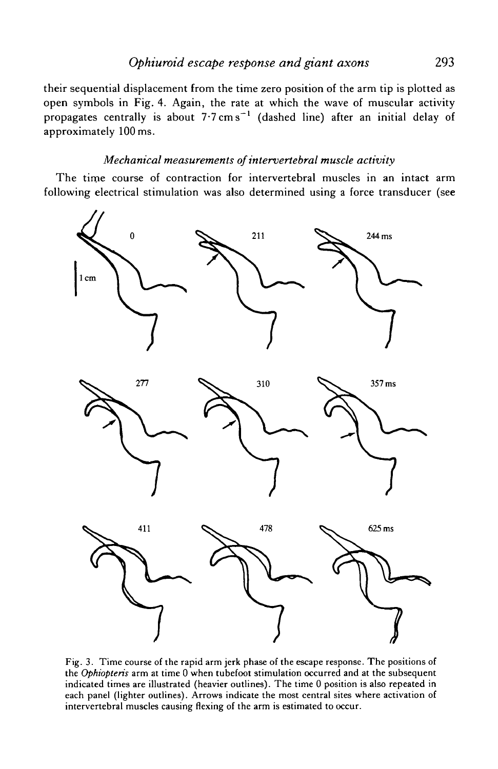## *Ophiuroid escape response and giant axons* 293

their sequential displacement from the time zero position of the arm tip is plotted as open symbols in Fig. 4. Again, the rate at which the wave of muscular activity propagates centrally is about  $7.7 \text{ cm s}^{-1}$  (dashed line) after an initial delay of approximately 100 ms.

#### *Mechanical measurements of intervertebral muscle activity*

The time course of contraction for intervertebral muscles in an intact arm following electrical stimulation was also determined using a force transducer (see



Fig. 3. Time course of the rapid arm jerk phase of the escape response. The positions of the *Ophiopteris* arm at time 0 when tubefoot stimulation occurred and at the subsequent indicated times are illustrated (heavier outlines). The time 0 position is also repeated in each panel (lighter outlines). Arrows indicate the most central sites where activation of intervertebral muscles causing flexing of the arm is estimated to occur.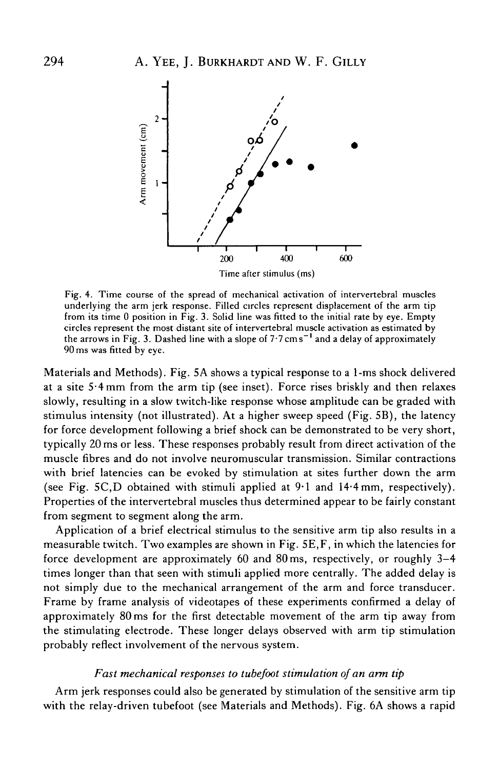

Fig. 4. Time course of the spread of mechanical activation of intervertebral muscles underlying the arm jerk response. Filled circles represent displacement of the arm tip from its time 0 position in Fig. 3. Solid line was fitted to the initial rate by eye. Empty circles represent the most distant site of intervertebral muscle activation as estimated by the arrows in Fig. 3. Dashed line with a slope of  $7.7 \text{ cm s}^{-1}$  and a delay of approximately 90 ms was fitted by eye.

Materials and Methods). Fig. 5A shows a typical response to a 1-ms shock delivered at a site  $5.4$  mm from the arm tip (see inset). Force rises briskly and then relaxes slowly, resulting in a slow twitch-like response whose amplitude can be graded with stimulus intensity (not illustrated). At a higher sweep speed (Fig. 5B), the latency for force development following a brief shock can be demonstrated to be very short, typically 20 ms or less. These responses probably result from direct activation of the muscle fibres and do not involve neuromuscular transmission. Similar contractions with brief latencies can be evoked by stimulation at sites further down the arm (see Fig. 5C,D obtained with stimuli applied at 9-1 and 14-4mm, respectively). Properties of the intervertebral muscles thus determined appear to be fairly constant from segment to segment along the arm.

Application of a brief electrical stimulus to the sensitive arm tip also results in a measurable twitch. Two examples are shown in Fig. 5E,F, in which the latencies for force development are approximately 60 and 80 ms, respectively, or roughly 3-4 times longer than that seen with stimuli applied more centrally. The added delay is not simply due to the mechanical arrangement of the arm and force transducer. Frame by frame analysis of videotapes of these experiments confirmed a delay of approximately 80 ms for the first detectable movement of the arm tip away from the stimulating electrode. These longer delays observed with arm tip stimulation probably reflect involvement of the nervous system.

#### *Fast mechanical responses to tubefoot stimulation of an arm tip*

Arm jerk responses could also be generated by stimulation of the sensitive arm tip with the relay-driven tubefoot (see Materials and Methods). Fig. 6A shows a rapid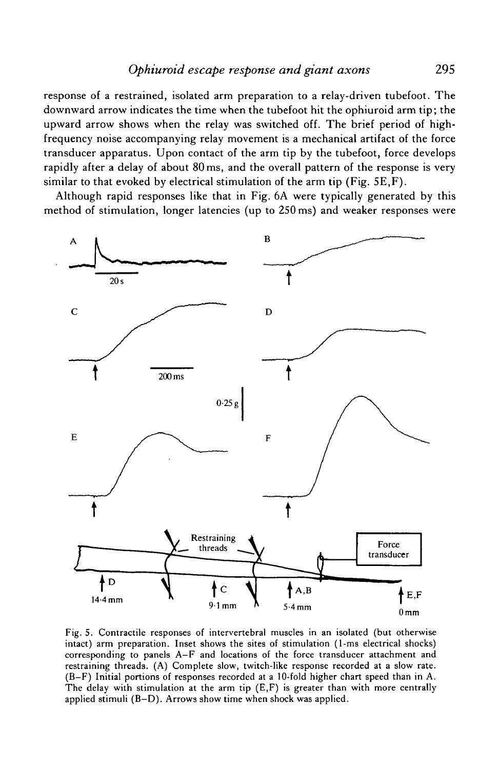response of a restrained, isolated arm preparation to a relay-driven tubefoot. The downward arrow indicates the time when the tubefoot hit the ophiuroid arm tip; the upward arrow shows when the relay was switched off. The brief period of highfrequency noise accompanying relay movement is a mechanical artifact of the force transducer apparatus. Upon contact of the arm tip by the tubefoot, force develops rapidly after a delay of about 80 ms, and the overall pattern of the response is very similar to that evoked by electrical stimulation of the arm tip (Fig. 5E,F).

Although rapid responses like that in Fig. 6A were typically generated by this method of stimulation, longer latencies (up to 250 ms) and weaker responses were



Fig. 5. Contractile responses of intervertebral muscles in an isolated (but otherwise intact) arm preparation. Inset shows the sites of stimulation (1-ms electrical shocks) corresponding to panels A-F and locations of the force transducer attachment and restraining threads. (A) Complete slow, twitch-like response recorded at a slow rate. (B-F) Initial portions of responses recorded at a 10-fold higher chart speed than in A. The delay with stimulation at the arm tip  $(E, F)$  is greater than with more centrally applied stimuli (B-D). Arrows show time when shock was applied.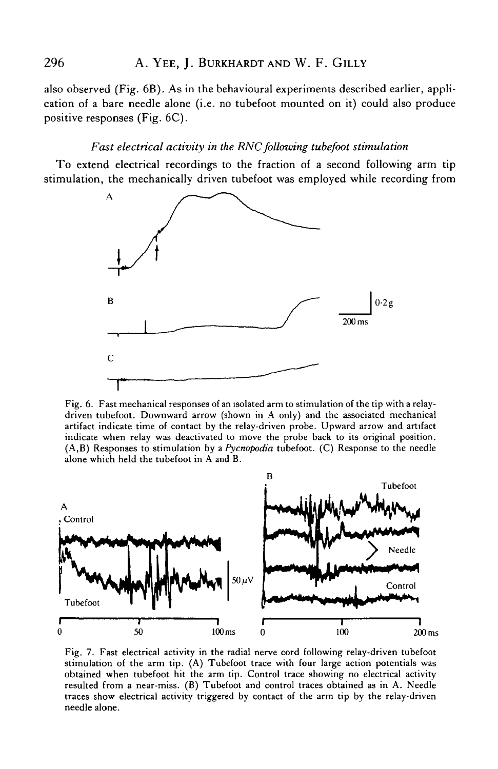also observed (Fig. 6B). As in the behavioural experiments described earlier, application of a bare needle alone (i.e. no tubefoot mounted on it) could also produce positive responses (Fig. 6C).

### *Fast electrical activity in the RNC following tubefoot stimulation*

To extend electrical recordings to the fraction of a second following arm tip stimulation, the mechanically driven tubefoot was employed while recording from



Fig. 6. Fast mechanical responses of an isolated arm to stimulation of the tip with a relaydriven tubefoot. Downward arrow (shown in A only) and the associated mechanical artifact indicate time of contact by the relay-driven probe. Upward arrow and artifact indicate when relay was deactivated to move the probe back to its original position. (A,B) Responses to stimulation by a *Pycnopodia* tubefoot. (C) Response to the needle alone which held the tubefoot in A and B.



Fig. 7. Fast electrical activity in the radial nerve cord following relay-driven tubefoot stimulation of the arm tip. (A) Tubefoot trace with four large action potentials was obtained when tubefoot hit the arm tip. Control trace showing no electrical activity resulted from a near-miss. (B) Tubefoot and control traces obtained as in A. Needle traces show electrical activity triggered by contact of the arm tip by the relay-driven needle alone.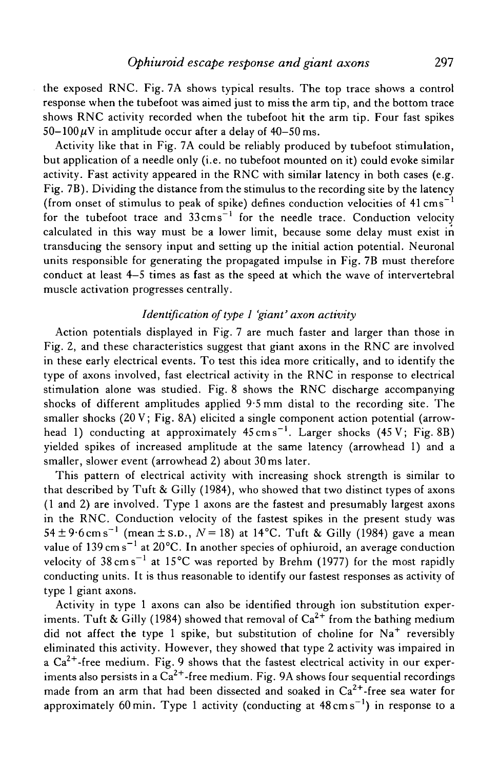the exposed RNC. Fig. 7A shows typical results. The top trace shows a control response when the tubefoot was aimed just to miss the arm tip, and the bottom trace shows RNC activity recorded when the tubefoot hit the arm tip. Four fast spikes  $50-100 \mu$ V in amplitude occur after a delay of 40–50 ms.

Activity like that in Fig. 7A could be reliably produced by tubefoot stimulation, but application of a needle only (i.e. no tubefoot mounted on it) could evoke similar activity. Fast activity appeared in the RNC with similar latency in both cases (e.g. Fig. 7B). Dividing the distance from the stimulus to the recording site by the latency (from onset of stimulus to peak of spike) defines conduction velocities of  $41 \text{ cm s}^{-1}$ for the tubefoot trace and  $33 \text{cm s}^{-1}$  for the needle trace. Conduction velocity calculated in this way must be a lower limit, because some delay must exist in transducing the sensory input and setting up the initial action potential. Neuronal units responsible for generating the propagated impulse in Fig. 7B must therefore conduct at least 4—5 times as fast as the speed at which the wave of intervertebral muscle activation progresses centrally.

## *Identification of type 1 'giant' axon activity*

Action potentials displayed in Fig. 7 are much faster and larger than those in Fig. 2, and these characteristics suggest that giant axons in the RNC are involved in these early electrical events. To test this idea more critically, and to identify the type of axons involved, fast electrical activity in the RNC in response to electrical stimulation alone was studied. Fig. 8 shows the RNC discharge accompanying shocks of different amplitudes applied 9-5 mm distal to the recording site. The smaller shocks (20 V; Fig. 8A) elicited a single component action potential (arrowhead 1) conducting at approximately  $45 \text{ cm s}^{-1}$ . Larger shocks (45 V; Fig. 8B) yielded spikes of increased amplitude at the same latency (arrowhead 1) and a smaller, slower event (arrowhead 2) about 30 ms later.

This pattern of electrical activity with increasing shock strength is similar to that described by Tuft & Gilly (1984), who showed that two distinct types of axons (1 and 2) are involved. Type 1 axons are the fastest and presumably largest axons in the RNC. Conduction velocity of the fastest spikes in the present study was  $54 \pm 9.6 \text{ cm s}^{-1}$  (mean  $\pm$  s.D.,  $N = 18$ ) at 14<sup>o</sup>C. Tuft & Gilly (1984) gave a mean value of  $139 \text{ cm s}^{-1}$  at  $20^{\circ}\text{C}$ . In another species of ophiuroid, an average conduction velocity of  $38 \text{ cm s}^{-1}$  at  $15^{\circ}\text{C}$  was reported by Brehm (1977) for the most rapidly conducting units. It is thus reasonable to identify our fastest responses as activity of type 1 giant axons.

Activity in type 1 axons can also be identified through ion substitution experiments. Tuft & Gilly (1984) showed that removal of  $Ca^{2+}$  from the bathing medium did not affect the type 1 spike, but substitution of choline for  $\mathrm{Na}^+$  reversibly eliminated this activity. However, they showed that type 2 activity was impaired in a  $Ca^{2+}$ -free medium. Fig. 9 shows that the fastest electrical activity in our experiments also persists in a  $\bar{Ca}^{2+}$ -free medium. Fig. 9A shows four sequential recordings made from an arm that had been dissected and soaked in  $Ca^{2+}$ -free sea water for approximately 60 min. Type 1 activity (conducting at  $48 \text{ cm s}^{-1}$ ) in response to a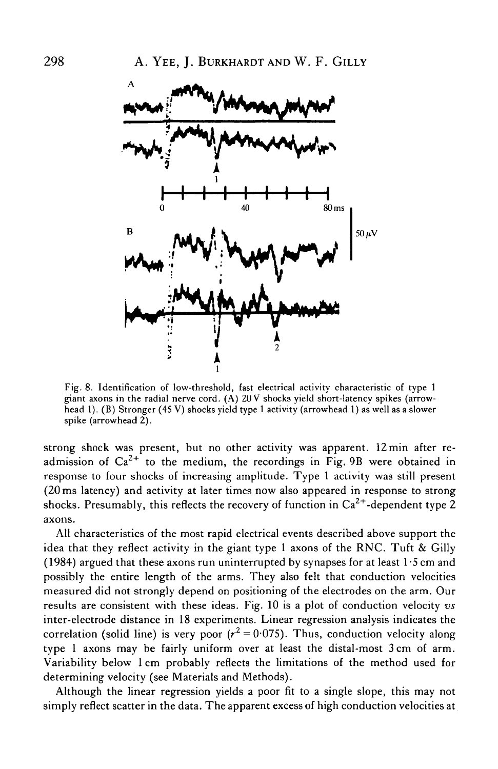

Fig. 8. Identification of low-threshold, fast electrical activity characteristic of type 1 giant axons in the radial nerve cord. (A) 20 V shocks yield short-latency spikes (arrowhead 1). (B) Stronger (45 V) shocks yield type 1 activity (arrowhead 1) as well as a slower spike (arrowhead 2).

strong shock was present, but no other activity was apparent. 12min after readmission of  $Ca^{2+}$  to the medium, the recordings in Fig. 9B were obtained in response to four shocks of increasing amplitude. Type 1 activity was still present (20 ms latency) and activity at later times now also appeared in response to strong shocks. Presumably, this reflects the recovery of function in  $Ca^{2+}$ -dependent type 2 axons.

All characteristics of the most rapid electrical events described above support the idea that they reflect activity in the giant type 1 axons of the RNC. Tuft  $\&$  Gilly (1984) argued that these axons run uninterrupted by synapses for at least  $1.5 \text{ cm}$  and possibly the entire length of the arms. They also felt that conduction velocities measured did not strongly depend on positioning of the electrodes on the arm. Our results are consistent with these ideas. Fig. 10 is a plot of conduction velocity *vs* inter-electrode distance in 18 experiments. Linear regression analysis indicates the correlation (solid line) is very poor ( $r^2 = 0.075$ ). Thus, conduction velocity along type 1 axons may be fairly uniform over at least the distal-most 3 cm of arm. Variability below 1 cm probably reflects the limitations of the method used for determining velocity (see Materials and Methods).

Although the linear regression yields a poor fit to a single slope, this may not simply reflect scatter in the data. The apparent excess of high conduction velocities at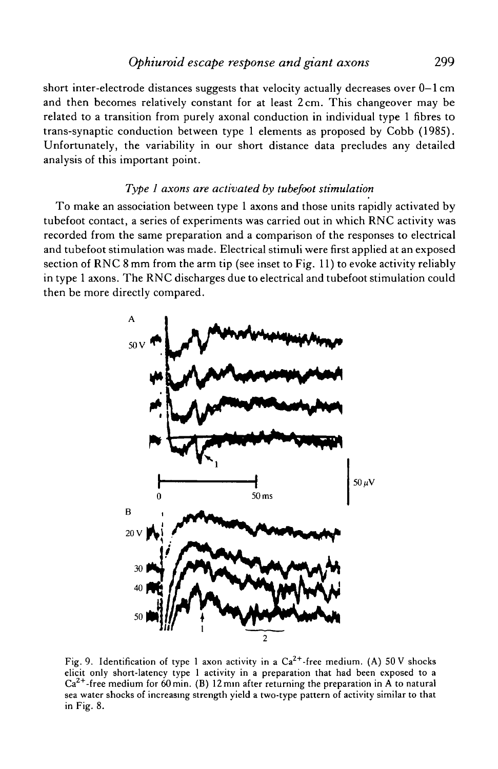short inter-electrode distances suggests that velocity actually decreases over 0—1 cm and then becomes relatively constant for at least 2 cm. This changeover may be related to a transition from purely axonal conduction in individual type 1 fibres to trans-synaptic conduction between type 1 elements as proposed by Cobb (1985). Unfortunately, the variability in our short distance data precludes any detailed analysis of this important point.

## *Type 1 axons are activated by tubefoot stimulation*

To make an association between type 1 axons and those units rapidly activated by tubefoot contact, a series of experiments was carried out in which RNC activity was recorded from the same preparation and a comparison of the responses to electrical and tubefoot stimulation was made. Electrical stimuli were first applied at an exposed section of RNC 8 mm from the arm tip (see inset to Fig. 11) to evoke activity reliably in type 1 axons. The RNC discharges due to electrical and tubefoot stimulation could then be more directly compared.



Fig. 9. Identification of type 1 axon activity in a  $Ca^{2+}$ -free medium. (A) 50 V shocks elicit only short-latency type 1 activity in a preparation that had been exposed to a  $Ca^{2+}$ -free medium for 60 min. (B) 12 min after returning the preparation in A to natural sea water shocks of increasing strength yield a two-type pattern of activity similar to that in Fig. 8.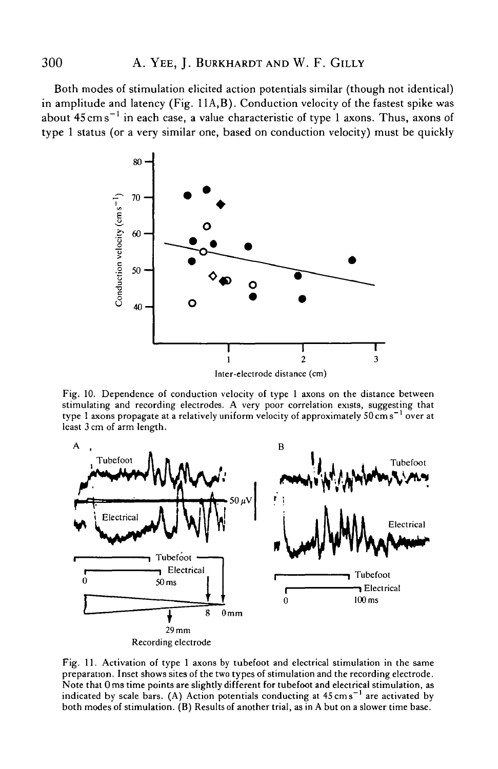Both modes of stimulation elicited action potentials similar (though not identical) in amplitude and latency (Fig. 11A,B). Conduction velocity of the fastest spike was about  $45\,\mathrm{cm\,s}^{-1}$  in each case, a value characteristic of type 1 axons. Thus, axons of type 1 status (or a very similar one, based on conduction velocity) must be quickly



Fig. 10. Dependence of conduction velocity of type 1 axons on the distance between stimulating and recording electrodes. A very poor correlation exists, suggesting that type 1 axons propagate at a relatively uniform velocity of approximately 50  $\rm cm\,s^{-1}$  over at least 3 cm of arm length.



Fig. 11. Activation of type 1 axons by tubefoot and electrical stimulation in the same preparation. Inset shows sites of the two types of stimulation and the recording electrode. Note that 0 ms time points are slightly different for tubefoot and electrical stimulation, as indicated by scale bars. (A) Action potentials conducting at  $45 \text{ cm s}^{-1}$  are activated by both modes of stimulation. (B) Results of another trial, as in A but on a slower time base.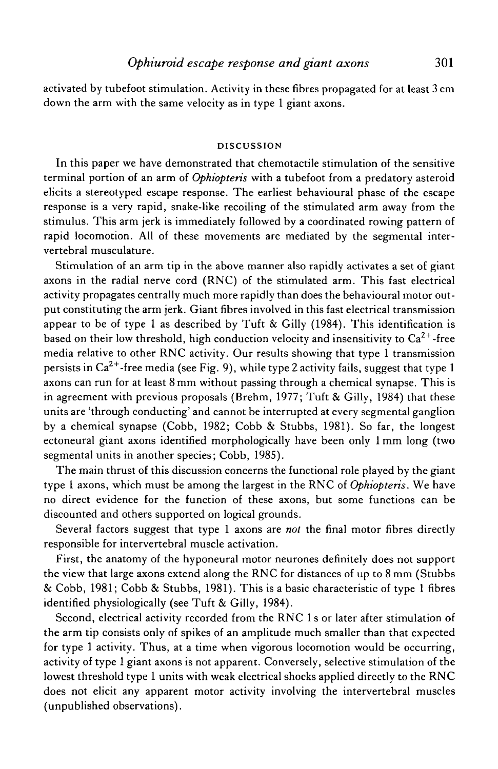activated by tubefoot stimulation. Activity in these fibres propagated for at least 3 cm down the arm with the same velocity as in type 1 giant axons.

#### DISCUSSION

In this paper we have demonstrated that chemotactile stimulation of the sensitive terminal portion of an arm of *Ophiopteris* with a tubefoot from a predatory asteroid elicits a stereotyped escape response. The earliest behavioural phase of the escape response is a very rapid, snake-like recoiling of the stimulated arm away from the stimulus. This arm jerk is immediately followed by a coordinated rowing pattern of rapid locomotion. All of these movements are mediated by the segmental intervertebral musculature.

Stimulation of an arm tip in the above manner also rapidly activates a set of giant axons in the radial nerve cord (RNC) of the stimulated arm. This fast electrical activity propagates centrally much more rapidly than does the behavioural motor output constituting the arm jerk. Giant fibres involved in this fast electrical transmission appear to be of type 1 as described by Tuft & Gilly  $(1984)$ . This identification is based on their low threshold, high conduction velocity and insensitivity to  $Ca^{2+}$ -free media relative to other RNC activity. Our results showing that type 1 transmission persists in  $Ca^{2+}$ -free media (see Fig. 9), while type 2 activity fails, suggest that type 1 axons can run for at least 8 mm without passing through a chemical synapse. This is in agreement with previous proposals (Brehm, 1977; Tuft & Gilly, 1984) that these units are 'through conducting' and cannot be interrupted at every segmental ganglion by a chemical synapse (Cobb, 1982; Cobb & Stubbs, 1981). So far, the longest ectoneural giant axons identified morphologically have been only 1 mm long (two segmental units in another species; Cobb, 1985).

The main thrust of this discussion concerns the functional role played by the giant type 1 axons, which must be among the largest in the RNC of *Ophiopteris.* We have no direct evidence for the function of these axons, but some functions can be discounted and others supported on logical grounds.

Several factors suggest that type 1 axons are *not* the final motor fibres directly responsible for intervertebral muscle activation.

First, the anatomy of the hyponeural motor neurones definitely does not support the view that large axons extend along the RNC for distances of up to 8 mm (Stubbs & Cobb, 1981; Cobb & Stubbs, 1981). This is a basic characteristic of type 1 fibres identified physiologically (see Tuft & Gilly, 1984).

Second, electrical activity recorded from the RNC 1 s or later after stimulation of the arm tip consists only of spikes of an amplitude much smaller than that expected for type 1 activity. Thus, at a time when vigorous locomotion would be occurring, activity of type 1 giant axons is not apparent. Conversely, selective stimulation of the lowest threshold type 1 units with weak electrical shocks applied directly to the RNC does not elicit any apparent motor activity involving the intervertebral muscles (unpublished observations).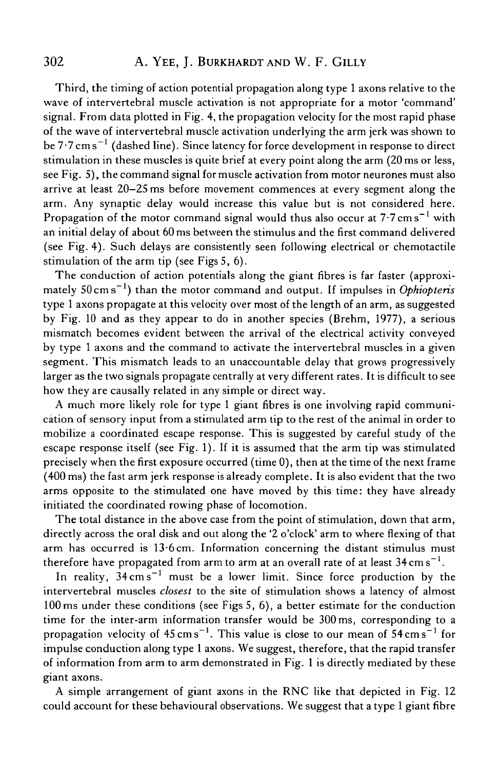## 302 A. YEE, J. BURKHARDT AND W. F. GILLY

Third, the timing of action potential propagation along type 1 axons relative to the wave of intervertebral muscle activation is not appropriate for a motor 'command' signal. From data plotted in Fig. 4, the propagation velocity for the most rapid phase of the wave of intervertebral muscle activation underlying the arm jerk was shown to be 7 $\cdot$ 7 cm s $^{-1}$  (dashed line). Since latency for force development in response to direct stimulation in these muscles is quite brief at every point along the arm (20 ms or less, see Fig. 5), the command signal for muscle activation from motor neurones must also arrive at least 20—25 ms before movement commences at every segment along the arm. Any synaptic delay would increase this value but is not considered here. Propagation of the motor command signal would thus also occur at  $7.7 \text{ cm s}^{-1}$  with an initial delay of about 60 ms between the stimulus and the first command delivered (see Fig. 4). Such delays are consistently seen following electrical or chemotactile stimulation of the arm tip (see Figs 5, 6).

The conduction of action potentials along the giant fibres is far faster (approximately 50 cm s<sup>-1</sup>) than the motor command and output. If impulses in *Ophiopteris* type 1 axons propagate at this velocity over most of the length of an arm, as suggested by Fig. 10 and as they appear to do in another species (Brehm, 1977), a serious mismatch becomes evident between the arrival of the electrical activity conveyed by type 1 axons and the command to activate the intervertebral muscles in a given segment. This mismatch leads to an unaccountable delay that grows progressively larger as the two signals propagate centrally at very different rates. It is difficult to see how they are causally related in any simple or direct way.

A much more likely role for type 1 giant fibres is one involving rapid communication of sensory input from a stimulated arm tip to the rest of the animal in order to mobilize a coordinated escape response. This is suggested by careful study of the escape response itself (see Fig. 1). If it is assumed that the arm tip was stimulated precisely when the first exposure occurred (time 0), then at the time of the next frame (400 ms) the fast arm jerk response is already complete. It is also evident that the two arms opposite to the stimulated one have moved by this time: they have already initiated the coordinated rowing phase of locomotion.

The total distance in the above case from the point of stimulation, down that arm, directly across the oral disk and out along the '2 o'clock' arm to where flexing of that arm has occurred is  $13.6$  cm. Information concerning the distant stimulus must therefore have propagated from arm to arm at an overall rate of at least 34  $\rm cm\,s^{-1}.$ 

In reality,  $34 \text{ cm s}^{-1}$  must be a lower limit. Since force production by the intervertebral muscles *closest* to the site of stimulation shows a latency of almost 100 ms under these conditions (see Figs 5, 6), a better estimate for the conduction time for the inter-arm information transfer would be 300 ms, corresponding to a propagation velocity of 45 cm s<sup>-1</sup>. This value is close to our mean of  $54 \text{ cm s}^{-1}$  for impulse conduction along type 1 axons. We suggest, therefore, that the rapid transfer of information from arm to arm demonstrated in Fig. 1 is directly mediated by these giant axons.

A simple arrangement of giant axons in the RNC like that depicted in Fig. 12 could account for these behavioural observations. We suggest that a type 1 giant fibre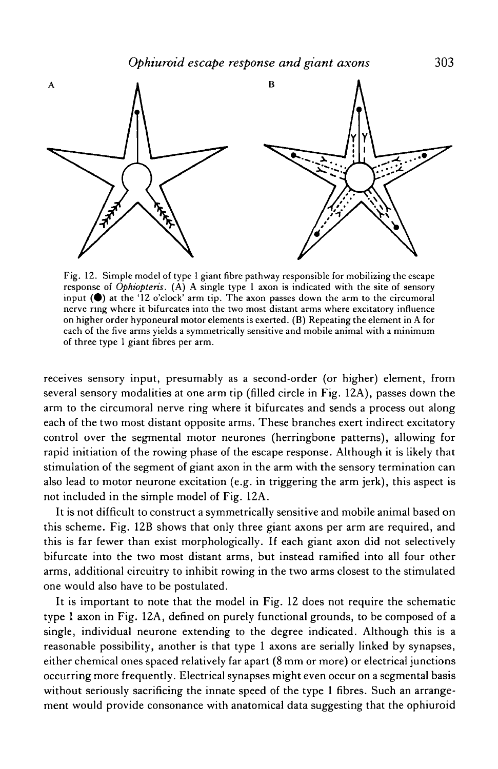

Fig. 12. Simple model of type 1 giant fibre pathway responsible for mobilizing the escape response of *Ophiopteris.* (A) A single type 1 axon is indicated with the site of sensory input (<sup>•</sup>) at the '12 o'clock' arm tip. The axon passes down the arm to the circumoral nerve ring where it bifurcates into the two most distant arms where excitatory influence on higher order hyponeural motor elements is exerted. (B) Repeating the element in A for each of the five arms yields a symmetrically sensitive and mobile animal with a minimum of three type 1 giant fibres per arm.

receives sensory input, presumably as a second-order (or higher) element, from several sensory modalities at one arm tip (filled circle in Fig. 12A), passes down the arm to the circumoral nerve ring where it bifurcates and sends a process out along each of the two most distant opposite arms. These branches exert indirect excitatory control over the segmental motor neurones (herringbone patterns), allowing for rapid initiation of the rowing phase of the escape response. Although it is likely that stimulation of the segment of giant axon in the arm with the sensory termination can also lead to motor neurone excitation (e.g. in triggering the arm jerk), this aspect is not included in the simple model of Fig. 12A.

It is not difficult to construct a symmetrically sensitive and mobile animal based on this scheme. Fig. 12B shows that only three giant axons per arm are required, and this is far fewer than exist morphologically. If each giant axon did not selectively bifurcate into the two most distant arms, but instead ramified into all four other arms, additional circuitry to inhibit rowing in the two arms closest to the stimulated one would also have to be postulated.

It is important to note that the model in Fig. 12 does not require the schematic type 1 axon in Fig. 12A, defined on purely functional grounds, to be composed of a single, individual neurone extending to the degree indicated. Although this is a reasonable possibility, another is that type 1 axons are serially linked by synapses, either chemical ones spaced relatively far apart (8 mm or more) or electrical junctions occurring more frequently. Electrical synapses might even occur on a segmental basis without seriously sacrificing the innate speed of the type 1 fibres. Such an arrangement would provide consonance with anatomical data suggesting that the ophiuroid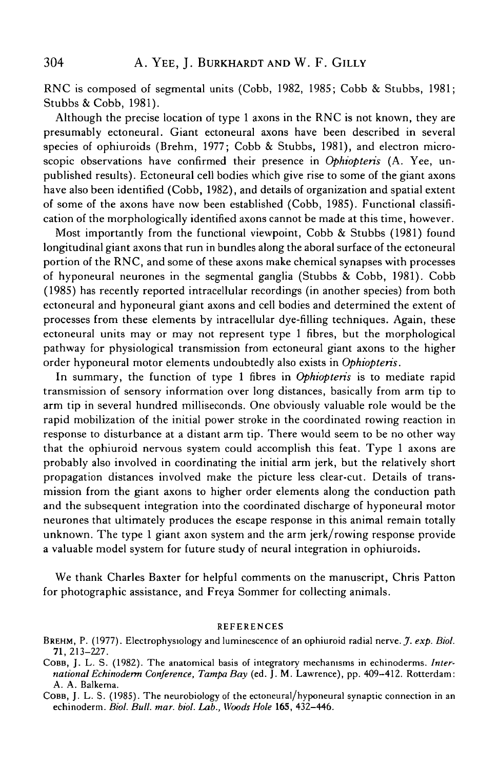RNC is composed of segmental units (Cobb, 1982, 1985; Cobb & Stubbs, 1981; Stubbs&Cobb, 1981).

Although the precise location of type 1 axons in the RNC is not known, they are presumably ectoneural. Giant ectoneural axons have been described in several species of ophiuroids (Brehm, 1977; Cobb & Stubbs, 1981), and electron microscopic observations have confirmed their presence in *Ophiopteris* (A. Yee, unpublished results). Ectoneural cell bodies which give rise to some of the giant axons have also been identified (Cobb, 1982), and details of organization and spatial extent of some of the axons have now been established (Cobb, 1985). Functional classification of the morphologically identified axons cannot be made at this time, however.

Most importantly from the functional viewpoint, Cobb & Stubbs (1981) found longitudinal giant axons that run in bundles along the aboral surface of the ectoneural portion of the RNC, and some of these axons make chemical synapses with processes of hyponeural neurones in the segmental ganglia (Stubbs & Cobb, 1981). Cobb (1985) has recently reported intracellular recordings (in another species) from both ectoneural and hyponeural giant axons and cell bodies and determined the extent of processes from these elements by intracellular dye-filling techniques. Again, these ectoneural units may or may not represent type 1 fibres, but the morphological pathway for physiological transmission from ectoneural giant axons to the higher order hyponeural motor elements undoubtedly also exists in *Ophiopteris.*

In summary, the function of type 1 fibres in *Ophiopteris* is to mediate rapid transmission of sensory information over long distances, basically from arm tip to arm tip in several hundred milliseconds. One obviously valuable role would be the rapid mobilization of the initial power stroke in the coordinated rowing reaction in response to disturbance at a distant arm tip. There would seem to be no other way that the ophiuroid nervous system could accomplish this feat. Type 1 axons are probably also involved in coordinating the initial arm jerk, but the relatively short propagation distances involved make the picture less clear-cut. Details of transmission from the giant axons to higher order elements along the conduction path and the subsequent integration into the coordinated discharge of hyponeural motor neurones that ultimately produces the escape response in this animal remain totally unknown. The type 1 giant axon system and the arm jerk/rowing response provide a valuable model system for future study of neural integration in ophiuroids.

We thank Charles Baxter for helpful comments on the manuscript, Chris Patton for photographic assistance, and Freya Sommer for collecting animals.

#### REFERENCES

- BREHM, P. (1977). Electrophysiology and luminescence of an ophiuroid radial nerve. *J. exp. Biol.* 71, 213-227.
- COBB, J. L. S. (1982). The anatomical basis of integratory mechanisms in echinoderms. *International Echinoderm Conference, Tampa Bay* (ed. J. M. Lawrence), pp. 409-412. Rotterdam: A. A. Balkema.
- COBB, J. L. S. (1985). The neurobiology of the ectoneural/hyponeural synaptic connection in an echinoderm. *Biol. Bull. mar. biol. Lab., Woods Hole* **165,** 432-446.